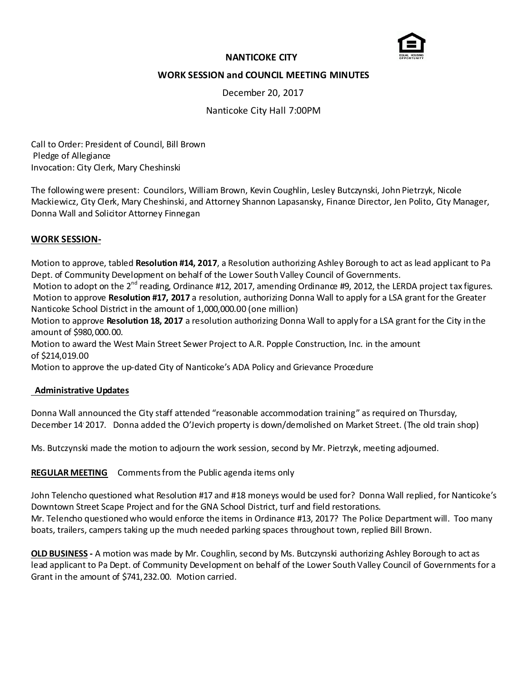

## **NANTICOKE CITY**

# **WORK SESSION and COUNCIL MEETING MINUTES**

December 20, 2017

Nanticoke City Hall 7:00PM

Call to Order: President of Council, Bill Brown Pledge of Allegiance Invocation: City Clerk, Mary Cheshinski

The following were present: Councilors, William Brown, Kevin Coughlin, Lesley Butczynski, John Pietrzyk, Nicole Mackiewicz, City Clerk, Mary Cheshinski, and Attorney Shannon Lapasansky, Finance Director, Jen Polito, City Manager, Donna Wall and Solicitor Attorney Finnegan

### **WORK SESSION-**

Motion to approve, tabled **Resolution #14, 2017**, a Resolution authorizing Ashley Borough to act as lead applicant to Pa Dept. of Community Development on behalf of the Lower South Valley Council of Governments.

Motion to adopt on the  $2^{nd}$  reading, Ordinance #12, 2017, amending Ordinance #9, 2012, the LERDA project tax figures. Motion to approve **Resolution #17, 2017** a resolution, authorizing Donna Wall to apply for a LSA grant for the Greater Nanticoke School District in the amount of 1,000,000.00 (one million)

Motion to approve **Resolution 18, 2017** a resolution authorizing Donna Wall to apply for a LSA grant for the City in the amount of \$980,000.00.

Motion to award the West Main Street Sewer Project to A.R. Popple Construction, Inc. in the amount of \$214,019.00

Motion to approve the up-dated City of Nanticoke's ADA Policy and Grievance Procedure

#### **Administrative Updates**

Donna Wall announced the City staff attended "reasonable accommodation training" as required on Thursday, December 14, 2017. Donna added the O'Jevich property is down/demolished on Market Street. (The old train shop)

Ms. Butczynski made the motion to adjourn the work session, second by Mr. Pietrzyk, meeting adjourned.

**REGULAR MEETING** Comments from the Public agenda items only

John Telencho questioned what Resolution #17 and #18 moneys would be used for? Donna Wall replied, for Nanticoke's Downtown Street Scape Project and for the GNA School District, turf and field restorations. Mr. Telencho questioned who would enforce the items in Ordinance #13, 2017? The Police Department will. Too many boats, trailers, campers taking up the much needed parking spaces throughout town, replied Bill Brown.

**OLD BUSINESS -** A motion was made by Mr. Coughlin, second by Ms. Butczynski authorizing Ashley Borough to act as lead applicant to Pa Dept. of Community Development on behalf of the Lower South Valley Council of Governments for a Grant in the amount of \$741,232.00. Motion carried.